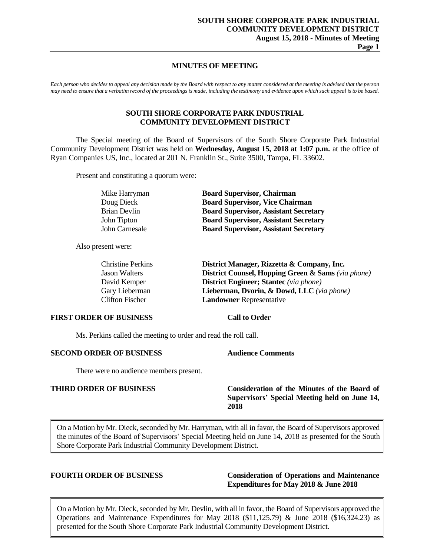# **MINUTES OF MEETING**

*Each person who decides to appeal any decision made by the Board with respect to any matter considered at the meeting is advised that the person may need to ensure that a verbatim record of the proceedings is made, including the testimony and evidence upon which such appeal is to be based.*

# **SOUTH SHORE CORPORATE PARK INDUSTRIAL COMMUNITY DEVELOPMENT DISTRICT**

The Special meeting of the Board of Supervisors of the South Shore Corporate Park Industrial Community Development District was held on **Wednesday, August 15, 2018 at 1:07 p.m.** at the office of Ryan Companies US, Inc., located at 201 N. Franklin St., Suite 3500, Tampa, FL 33602.

Present and constituting a quorum were:

| Mike Harryman  | <b>Board Supervisor, Chairman</b>            |
|----------------|----------------------------------------------|
| Doug Dieck     | <b>Board Supervisor, Vice Chairman</b>       |
| Brian Devlin   | <b>Board Supervisor, Assistant Secretary</b> |
| John Tipton    | <b>Board Supervisor, Assistant Secretary</b> |
| John Carnesale | <b>Board Supervisor, Assistant Secretary</b> |

Also present were:

| <b>Christine Perkins</b> | District Manager, Rizzetta & Company, Inc.                    |
|--------------------------|---------------------------------------------------------------|
| <b>Jason Walters</b>     | <b>District Counsel, Hopping Green &amp; Sams (via phone)</b> |
| David Kemper             | <b>District Engineer; Stantec</b> (via phone)                 |
| Gary Lieberman           | Lieberman, Dvorin, & Dowd, LLC (via phone)                    |
| Clifton Fischer          | <b>Landowner Representative</b>                               |
|                          |                                                               |

### **FIRST ORDER OF BUSINESS Call to Order**

Ms. Perkins called the meeting to order and read the roll call.

## **SECOND ORDER OF BUSINESS Audience Comments**

There were no audience members present.

# **THIRD ORDER OF BUSINESS Consideration of the Minutes of the Board of Supervisors' Special Meeting held on June 14, 2018**

On a Motion by Mr. Dieck, seconded by Mr. Harryman, with all in favor, the Board of Supervisors approved the minutes of the Board of Supervisors' Special Meeting held on June 14, 2018 as presented for the South Shore Corporate Park Industrial Community Development District.

# **FOURTH ORDER OF BUSINESS Consideration of Operations and Maintenance Expenditures for May 2018 & June 2018**

On a Motion by Mr. Dieck, seconded by Mr. Devlin, with all in favor, the Board of Supervisors approved the Operations and Maintenance Expenditures for May 2018 (\$11,125.79)  $\&$  June 2018 (\$16,324.23) as presented for the South Shore Corporate Park Industrial Community Development District.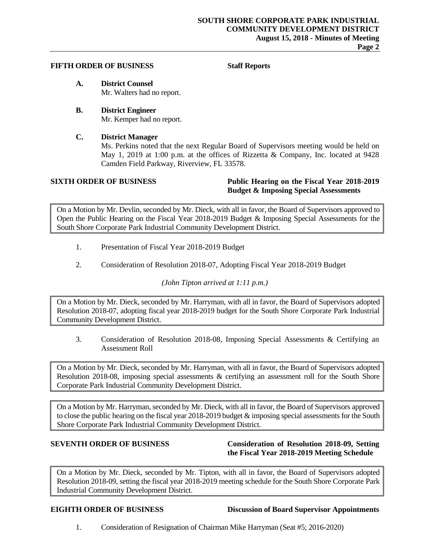## **Page 2**

# **FIFTH ORDER OF BUSINESS Staff Reports**

- **A. District Counsel** Mr. Walters had no report.
- **B. District Engineer** Mr. Kemper had no report.

# **C. District Manager**

Ms. Perkins noted that the next Regular Board of Supervisors meeting would be held on May 1, 2019 at 1:00 p.m. at the offices of Rizzetta & Company, Inc. located at 9428 Camden Field Parkway, Riverview, FL 33578.

# **SIXTH ORDER OF BUSINESS Public Hearing on the Fiscal Year 2018-2019 Budget & Imposing Special Assessments**

On a Motion by Mr. Devlin, seconded by Mr. Dieck, with all in favor, the Board of Supervisors approved to Open the Public Hearing on the Fiscal Year 2018-2019 Budget & Imposing Special Assessments for the South Shore Corporate Park Industrial Community Development District.

- 1. Presentation of Fiscal Year 2018-2019 Budget
- 2. Consideration of Resolution 2018-07, Adopting Fiscal Year 2018-2019 Budget

*(John Tipton arrived at 1:11 p.m.)*

On a Motion by Mr. Dieck, seconded by Mr. Harryman, with all in favor, the Board of Supervisors adopted Resolution 2018-07, adopting fiscal year 2018-2019 budget for the South Shore Corporate Park Industrial Community Development District.

3. Consideration of Resolution 2018-08, Imposing Special Assessments & Certifying an Assessment Roll

On a Motion by Mr. Dieck, seconded by Mr. Harryman, with all in favor, the Board of Supervisors adopted Resolution 2018-08, imposing special assessments & certifying an assessment roll for the South Shore Corporate Park Industrial Community Development District.

On a Motion by Mr. Harryman, seconded by Mr. Dieck, with all in favor, the Board of Supervisors approved to close the public hearing on the fiscal year 2018-2019 budget & imposing special assessments for the South Shore Corporate Park Industrial Community Development District.

# **SEVENTH ORDER OF BUSINESS Consideration of Resolution 2018-09, Setting the Fiscal Year 2018-2019 Meeting Schedule**

On a Motion by Mr. Dieck, seconded by Mr. Tipton, with all in favor, the Board of Supervisors adopted Resolution 2018-09, setting the fiscal year 2018-2019 meeting schedule for the South Shore Corporate Park Industrial Community Development District.

**EIGHTH ORDER OF BUSINESS Discussion of Board Supervisor Appointments**

1. Consideration of Resignation of Chairman Mike Harryman (Seat #5; 2016-2020)